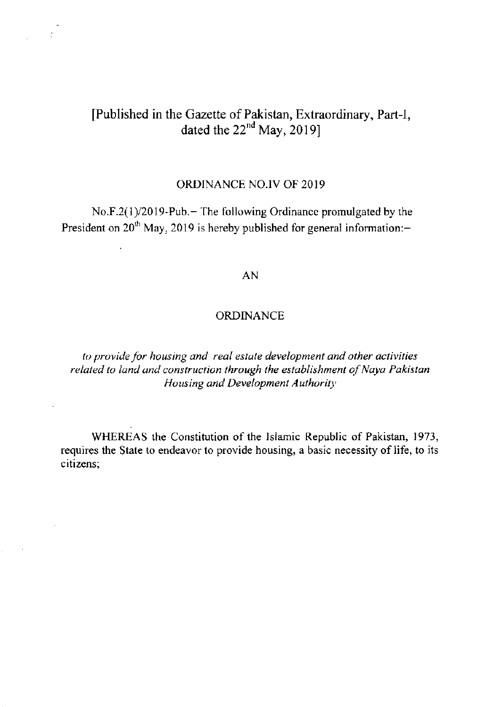# [Published in the Gazette of Pakistan, Extraordinary, Part-I, dated the  $22<sup>nd</sup>$  May, 2019]

 $\mathbb{R}^2$ 

 $\sim$   $\sim$ 

 $\ddot{\phantom{a}}$ 

## ORDINANCE NO.IV OF 20I9

No.F.2(1)/2019-Pub.- The following Ordinance promulgated by the President on  $20<sup>th</sup>$  May, 2019 is hereby published for general information:-

## AN

## ORDINANCE

to provide for housing and real estate development and other activities related to land and construction through the establishment of Naya Pakistan Housing and Development Authority

WHEREAS the Constitution of the Islamic Republic of Pakistan, 1973, requires the State to endeavor to provide housing, a basic necessity of life, to its citizens;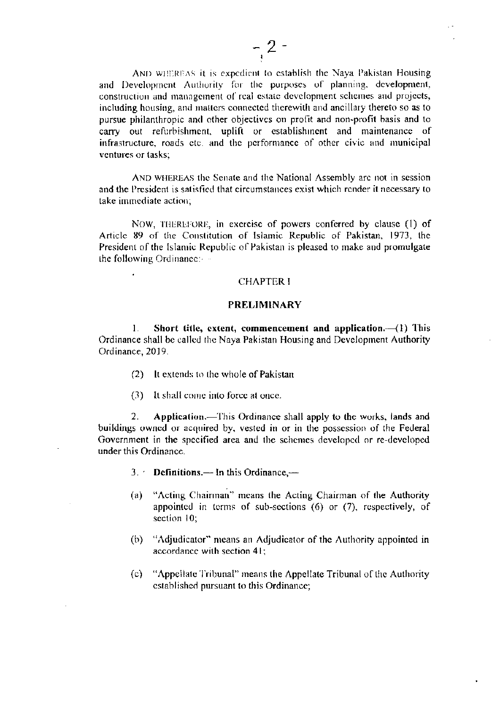AND WHEREAS it is expedient to establish the Naya Pakistan Housing and Development Authority for the purposes of planning, development, construction and management of real estate development schemes and projects, including housing, and matters connected therewith and ancillary thereto so as to pursue philanthropic and other objectives on profit and non-profit basis and to carry out refurbishment, uplift or establishment and maintenance of infrastructure, roads etc. and the performance of other civic and municipal ventures or tasks:

AND WHEREAS the Senate and the National Assembly are not in session and the President is satisfied that circumstances exist which render it necessary to take immediate action:

NOW, THEREFORE, in exercise of powers conferred by clause (1) of Article 89 of the Constitution of Islamic Republic of Pakistan, 1973, the President of the Islamic Republic of Pakistan is pleased to make and promulgate the following Ordinance: - -

#### **CHAPTER I**

#### **PRELIMINARY**

Short title, extent, commencement and application. $-(1)$  This  $\mathbf{1}$ . Ordinance shall be called the Naya Pakistan Housing and Development Authority Ordinance, 2019.

- (2) It extends to the whole of Pakistan
- (3) It shall come into force at once.

Application.—This Ordinance shall apply to the works, lands and  $2_{-}$ buildings owned or acquired by, vested in or in the possession of the Federal Government in the specified area and the schemes developed or re-developed under this Ordinance.

- $3.$  Definitions.— In this Ordinance,—
- "Acting Chairman" means the Acting Chairman of the Authority  $(a)$ appointed in terms of sub-sections (6) or (7), respectively, of section 10;
- (b) "Adjudicator" means an Adjudicator of the Authority appointed in accordance with section 41;
- $(c)$ "Appellate Tribunal" means the Appellate Tribunal of the Authority established pursuant to this Ordinance;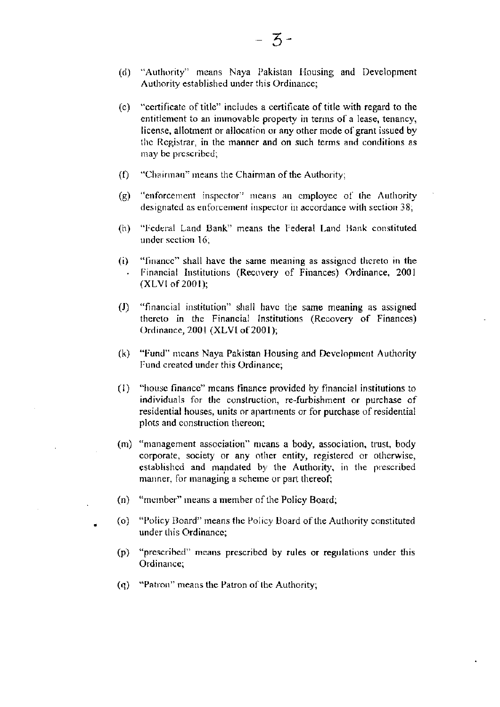- (d) "Authority" means Naya Pakistan Housing and Development Authority established under this Ordinance;
- (e) "certificate of title" includes a certificate of title with regard to the entitlement to an immovable property in terms of a lease, tenancy, license, allotment or allocation or any other mode of grant issued by the Registrar, in the manner and on such terms and conditions as may be prescribed;
- "Chairman" means the Chairman of the Authority;  $\Omega$
- $(g)$ "enforcement inspector" means an employee of the Authority designated as enforcement inspector in accordance with section 38;
- "Federal Land Bank" means the Federal Land Bank constituted  $(h)$ under section 16:
- "finance" shall have the same meaning as assigned thereto in the  $(i)$ Financial Institutions (Recovery of Finances) Ordinance, 2001 (XLVI of 2001);
- $\left( \mathrm{J}\right)$ "financial institution" shall have the same meaning as assigned thereto in the Financial Institutions (Recovery of Finances) Ordinance, 2001 (XLVI of 2001);
- (k) "Fund" means Naya Pakistan Housing and Development Authority Fund created under this Ordinance;
- $(1)$ "house finance" means finance provided by financial institutions to individuals for the construction, re-furbishment or purchase of residential houses, units or apartments or for purchase of residential plots and construction thereon;
- (m) "management association" means a body, association, trust, body corporate, society or any other entity, registered or otherwise, established and mandated by the Authority, in the prescribed manner, for managing a scheme or part thereof;
- "member" means a member of the Policy Board;  $(n)$
- (o) "Policy Board" means the Policy Board of the Authority constituted under this Ordinance;
- (p) "prescribed" means prescribed by rules or regulations under this Ordinance:
- (q) "Patron" means the Patron of the Authority;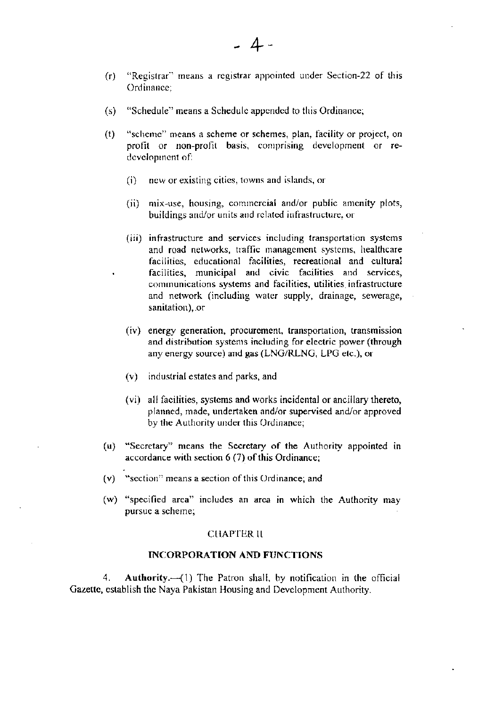- "Registrar" means a registrar appointed under Section-22 of this  $(r)$ Ordinance:
- "Schedule" means a Schedule appended to this Ordinance;  $(s)$
- "scheme" means a scheme or schemes, plan, facility or project, on  $(t)$ profit or non-profit basis, comprising development or redevelopment of:
	- new or existing cities, towns and islands, or  $(i)$
	- (ii) mix-use, housing, commercial and/or public amenity plots, buildings and/or units and related infrastructure, or
	- (iii) infrastructure and services including transportation systems and road networks, traffic management systems, healthcare facilities, educational facilities, recreational and cultural facilities, municipal and civic facilities and services, communications systems and facilities, utilities infrastructure and network (including water supply, drainage, sewerage, sanitation). or
	- (iv) energy generation, procurement, transportation, transmission and distribution systems including for electric power (through any energy source) and gas (LNG/RLNG, LPG etc.), or
	- (v) industrial estates and parks, and
	- (vi) all facilities, systems and works incidental or ancillary thereto, planned, made, undertaken and/or supervised and/or approved by the Authority under this Ordinance;
- (u) "Secretary" means the Secretary of the Authority appointed in accordance with section 6 (7) of this Ordinance;
- $(v)$  "section" means a section of this Ordinance; and
- (w) "specified area" includes an area in which the Authority may pursue a scheme;

## **CHAPTER II**

### **INCORPORATION AND FUNCTIONS**

4. Authority. $-(1)$  The Patron shall, by notification in the official Gazette, establish the Naya Pakistan Housing and Development Authority.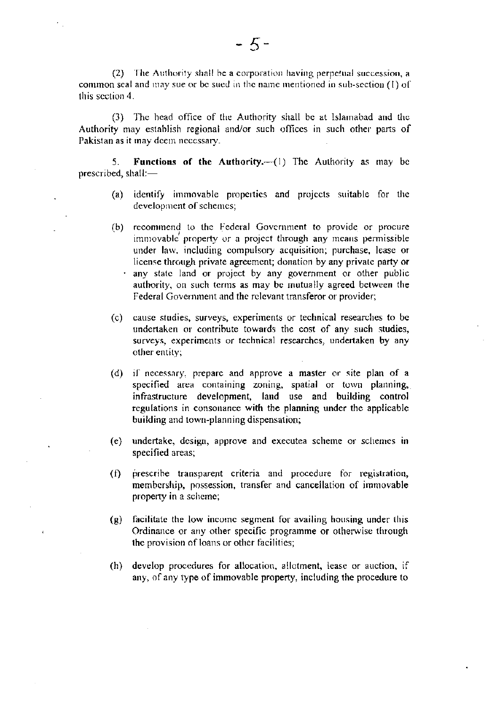(2) The Authority shall be a corporation having perpetual succession, a common seal and may sue or be sued in the name mentioned in sub-section (1) of this section 4.

(3) The head office of the Authority shall be at Islamabad and the Authority may establish regional and/or such offices in such other parts of Pakistan as it may deem necessary.

Functions of the Authority.-- (1) The Authority as may be 5. prescribed, shall:-

- (a) identify immovable properties and projects suitable for the development of schemes:
- (b) recommend to the Federal Government to provide or procure immovable property or a project through any means permissible under law, including compulsory acquisition; purchase, lease or license through private agreement; donation by any private party or any state land or project by any government or other public authority, on such terms as may be mutually agreed between the Federal Government and the relevant transferor or provider;
- (c) cause studies, surveys, experiments or technical researches to be undertaken or contribute towards the cost of any such studies, surveys, experiments or technical researches, undertaken by any other entity;
- (d) if necessary, prepare and approve a master or site plan of a specified area containing zoning, spatial or town planning, infrastructure development, land use and building control regulations in consonance with the planning under the applicable building and town-planning dispensation;
- (e) undertake, design, approve and execute ascheme or schemes in specified areas;
- prescribe transparent criteria and procedure for registration,  $(f)$ membership, possession, transfer and cancellation of immovable property in a scheme;
- $(g)$  facilitate the low income segment for availing housing under this Ordinance or any other specific programme or otherwise through the provision of loans or other facilities;
- (h) develop procedures for allocation, allotment, lease or auction, if any, of any type of immovable property, including the procedure to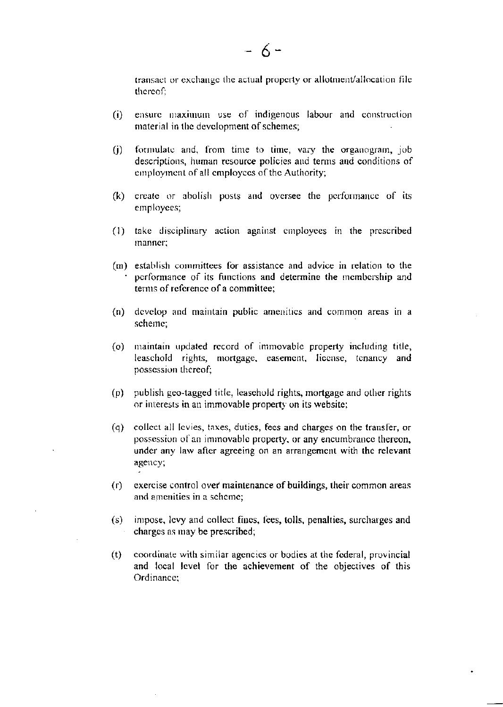transact or exchange the actual property or allotment/allocation file thereof:

- ensure maximum use of indigenous labour and construction  $(i)$ material in the development of schemes;
- formulate and, from time to time, vary the organogram, job  $(i)$ descriptions, human resource policies and terms and conditions of employment of all employees of the Authority;
- (k) create or abolish posts and oversee the performance of its employees;
- (1) take disciplinary action against employees in the prescribed manner:
- (m) establish committees for assistance and advice in relation to the performance of its functions and determine the membership and terms of reference of a committee:
- (n) develop and maintain public amenities and common areas in a scheme:
- (o) maintain updated record of immovable property including title, leaschold rights, mortgage, easement, license, tenancy and possession thereof;
- (p) publish geo-tagged title, leasehold rights, mortgage and other rights or interests in an immovable property on its website;
- collect all levies, taxes, duties, fees and charges on the transfer, or  $\sf (q)$ possession of an immovable property, or any encumbrance thereon, under any law after agreeing on an arrangement with the relevant agency;
- exercise control over maintenance of buildings, their common areas  $(r)$ and amenities in a scheme;
- (s) impose, levy and collect fines, fees, tolls, penalties, surcharges and charges as may be prescribed;
- coordinate with similar agencies or bodies at the federal, provincial  $(t)$ and local level for the achievement of the objectives of this Ordinance: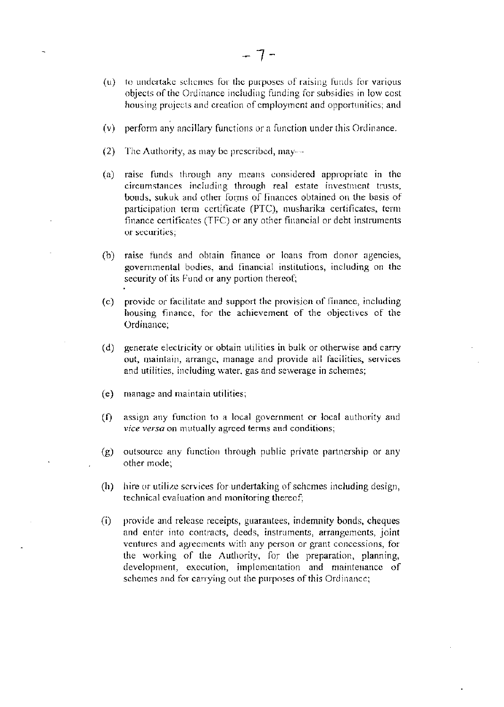- (u) to undertake schemes for the purposes of raising funds for various objects of the Ordinance including funding for subsidies in low cost housing projects and creation of employment and opportunities; and
- (v) perform any ancillary functions or a function under this Ordinance.
- $(2)$ The Authority, as may be prescribed, may-
- raise funds through any means considered appropriate in the  $(a)$ circumstances including through real estate investment trusts, bonds, sukuk and other forms of finances obtained on the basis of participation term certificate (PTC), musharika certificates, term finance certificates (TFC) or any other financial or debt instruments or securities:
- raise funds and obtain finance or loans from donor agencies,  $(b)$ governmental bodies, and financial institutions, including on the security of its Fund or any portion thereof;
- (c) provide or facilitate and support the provision of finance, including housing finance, for the achievement of the objectives of the Ordinance;
- generate electricity or obtain utilities in bulk or otherwise and carry  $(d)$ out, maintain, arrange, manage and provide all facilities, services and utilities, including water, gas and sewerage in schemes;
- manage and maintain utilities;  $(e)$
- $(f)$ assign any function to a local government or local authority and vice versa on mutually agreed terms and conditions;
- outsource any function through public private partnership or any  $(g)$ other mode;
- $(h)$ hire or utilize services for undertaking of schemes including design, technical evaluation and monitoring thereof;
- provide and release receipts, guarantees, indemnity bonds, cheques  $(i)$ and enter into contracts, deeds, instruments, arrangements, joint ventures and agreements with any person or grant concessions, for the working of the Authority, for the preparation, planning, development, execution, implementation and maintenance of schemes and for carrying out the purposes of this Ordinance;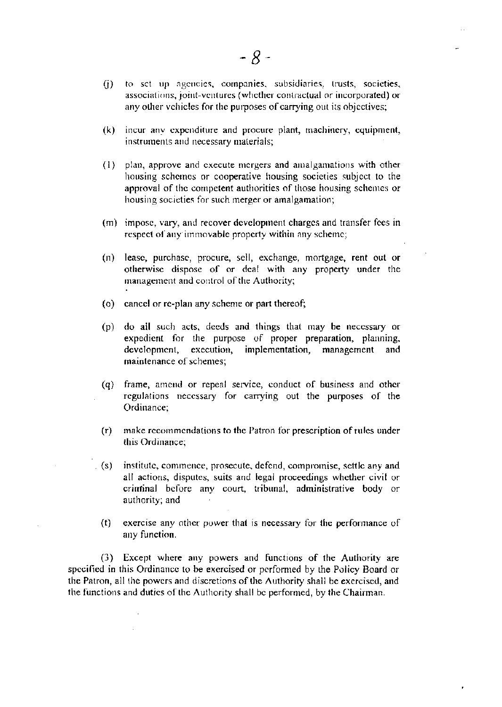- to set up agencies, companies, subsidiaries, trusts, societies,  $(i)$ associations, joint-ventures (whether contractual or incorporated) or any other vehicles for the purposes of carrying out its objectives;
- incur any expenditure and procure plant, machinery, equipment,  $(k)$ instruments and necessary materials;
- (1) plan, approve and execute mergers and amalgamations with other housing schemes or cooperative housing societies subject to the approval of the competent authorities of those housing schemes or housing societies for such merger or amalgamation;
- (m) impose, vary, and recover development charges and transfer fees in respect of any immovable property within any scheme;
- $(n)$ lease, purchase, procure, sell, exchange, mortgage, rent out or otherwise dispose of or deal with any property under the management and control of the Authority;
- (o) cancel or re-plan any scheme or part thereof;
- (p) do all such acts, deeds and things that may be necessary or expedient for the purpose of proper preparation, planning, development, execution, implementation, management and maintenance of schemes;
- (q) frame, amend or repeal service, conduct of business and other regulations necessary for carrying out the purposes of the Ordinance;
- make recommendations to the Patron for prescription of rules under  $(r)$ this Ordinance;
- institute, commence, prosecute, defend, compromise, settle any and  $(s)$ all actions, disputes, suits and legal proceedings whether civil or criminal before any court, tribunal, administrative body or authority; and
	- exercise any other power that is necessary for the performance of  $(t)$ any function.

(3) Except where any powers and functions of the Authority are specified in this Ordinance to be exercised or performed by the Policy Board or the Patron, all the powers and discretions of the Authority shall be exercised, and the functions and duties of the Authority shall be performed, by the Chairman.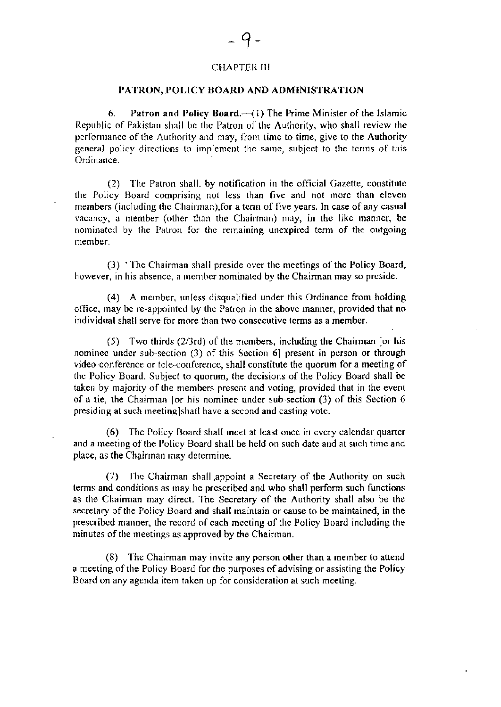## **CHAPTER III**

#### PATRON, POLICY BOARD AND ADMINISTRATION

6. Patron and Policy Board. $-(1)$  The Prime Minister of the Islamic Republic of Pakistan shall be the Patron of the Authority, who shall review the performance of the Authority and may, from time to time, give to the Authority general policy directions to implement the same, subject to the terms of this Ordinance.

(2) The Patron shall, by notification in the official Gazette, constitute the Policy Board comprising not less than five and not more than eleven members (including the Chairman), for a term of five years. In case of any casual vacancy, a member (other than the Chairman) may, in the like manner, be nominated by the Patron for the remaining unexpired term of the outgoing member

(3) The Chairman shall preside over the meetings of the Policy Board, however, in his absence, a member nominated by the Chairman may so preside.

(4) A member, unless disqualified under this Ordinance from holding office, may be re-appointed by the Patron in the above manner, provided that no individual shall serve for more than two consecutive terms as a member.

 $(5)$  Two thirds  $(2/3rd)$  of the members, including the Chairman [or his nominee under sub-section (3) of this Section 6] present in person or through video-conference or tele-conference, shall constitute the quorum for a meeting of the Policy Board. Subject to quorum, the decisions of the Policy Board shall be taken by majority of the members present and voting, provided that in the event of a tie, the Chairman [or his nominee under sub-section (3) of this Section 6 presiding at such meeting]shall have a second and casting vote.

(6) The Policy Board shall meet at least once in every calendar quarter and a meeting of the Policy Board shall be held on such date and at such time and place, as the Chairman may determine.

(7) The Chairman shall appoint a Secretary of the Authority on such terms and conditions as may be prescribed and who shall perform such functions as the Chairman may direct. The Secretary of the Authority shall also be the secretary of the Policy Board and shall maintain or cause to be maintained, in the prescribed manner, the record of each meeting of the Policy Board including the minutes of the meetings as approved by the Chairman.

(8) The Chairman may invite any person other than a member to attend a meeting of the Policy Board for the purposes of advising or assisting the Policy Board on any agenda item taken up for consideration at such meeting.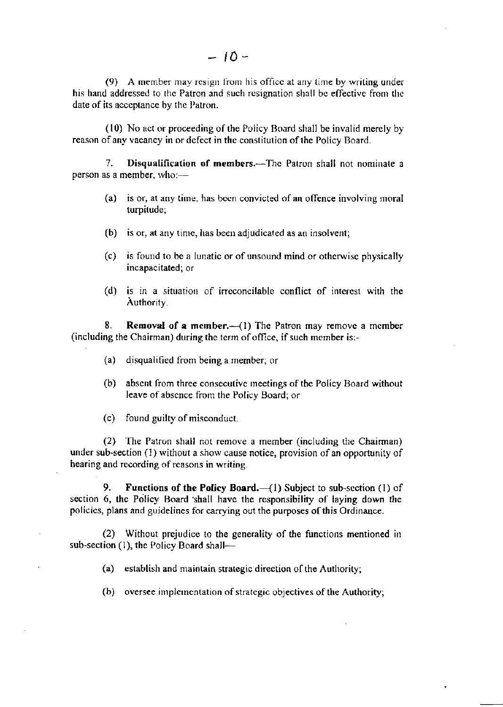(9) A member may resign from his office at any time by writing under his hand addressed to the Patron and such resignation shall be effective from the date of its acceptance by the Patron.

 $(10)$  No act or proceeding of the Policy Board shall be invalid merely by reason of any vacancy in or defect in the constitution of the Policy Board.

7. Disqualification of members.—The Patron shall not nominate a person as a member, who:---

- (a) is or, at any time, has been convicted of an offence involving moral turpitude;
- $(b)$  is or, at any time, has been adjudicated as an insolvent;
- $(c)$  is found to be a lunatic or of unsound mind or otherwise physically incapacitated; or
- $(d)$  is in a situation of irreconcilable conflict of interest with the Authority

8. Removal of a member. $-(1)$  The Patron may remove a member (including the Chairman) during the tcrm of oflice, if such member is:-

- (a) disqualified from being a member; or
- (b) absent from three consecutive meetings of the Policy Board without leave of absence from the Policy Board; or
- (c) fouod guilty of misconduct.

 $(2)$  The Patron shall not remove a member (including the Chairman) under sub-section  $(1)$  without a show cause notice, provision of an opportunity of hearing and recording of reasons in writing.

9. Functions of the Policy Board. $-(1)$  Subject to sub-section (1) of section 6, the Policy Board shall have the responsibility of laying down the policies, plans and guidelines for carrying out the purposes of this Ordinance.

 $(2)$  Without prejudice to the generality of the functions mentioned in sub-section  $(1)$ , the Policy Board shall--

(a) establish and maintain strategic direction of the Authority;

 $(b)$  oversee implementation of strategic objectives of the Authority;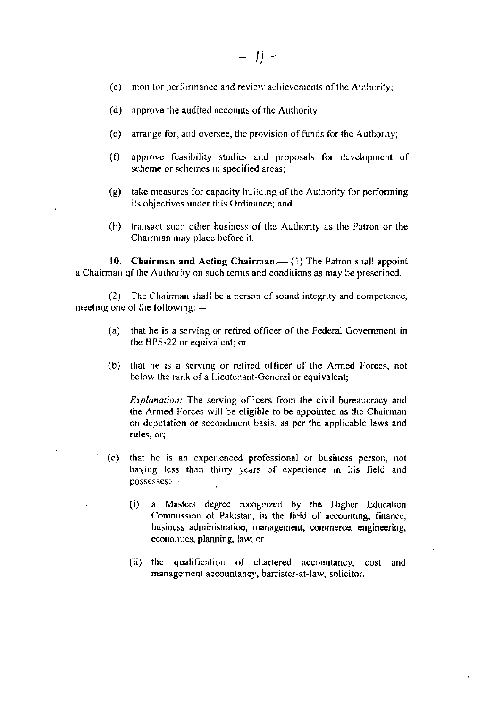- monitor performance and review achievements of the Authority;  $(c)$
- $(d)$ approve the audited accounts of the Authority;
- (e) arrange for, and oversee, the provision of funds for the Authority;
- $(f)$ approve feasibility studies and proposals for development of scheme or schemes in specified areas;
- $(g)$ take measures for capacity building of the Authority for performing its objectives under this Ordinance; and
- transact such other business of the Authority as the Patron or the  $(h)$ Chairman may place before it.

10. Chairman and Acting Chairman.— (1) The Patron shall appoint a Chairman of the Authority on such terms and conditions as may be prescribed.

(2) The Chairman shall be a person of sound integrity and competence, meeting one of the following: --

- that he is a serving or retired officer of the Federal Government in  $(a)$ the BPS-22 or equivalent; or
- that he is a serving or retired officer of the Armed Forces, not  $(b)$ below the rank of a Lieutenant-General or equivalent;

*Explanation:* The serving officers from the civil bureaucracy and the Armed Forces will be eligible to be appointed as the Chairman on deputation or secondment basis, as per the applicable laws and rules, or,

- that he is an experienced professional or business person, not  $(c)$ having less than thirty years of experience in his field and possesses:---
	- a Masters degree recognized by the Higher Education  $(i)$ Commission of Pakistan, in the field of accounting, finance, business administration, management, commerce, engineering, economics, planning, law; or
	- (ii) the qualification of chartered accountancy, cost and management accountancy, barrister-at-law, solicitor.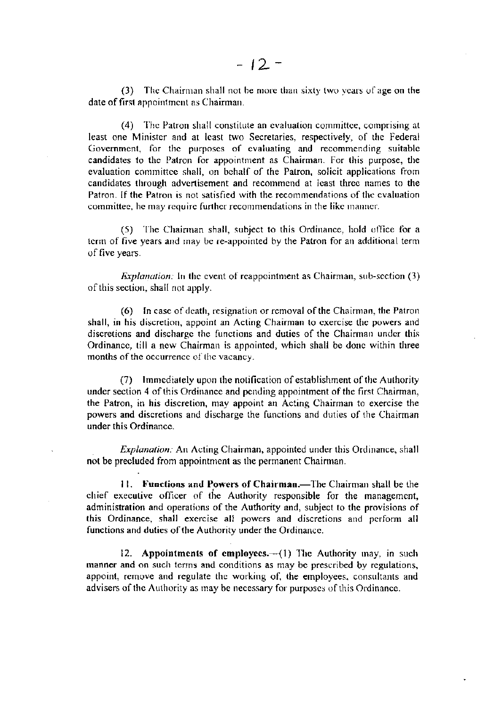(3) The Chairman shall not be more than sixty two years of age on the date of first appointment as Chairman.

(4) The Patron shall constitute an evaluation committee, comprising at least one Minister and at least two Secretaries, respectively, of the Federal Government, for the purposes of evaluating and recommending suitable candidates to the Patron for appointment as Chairman. For this purpose, the evaluation committee shall, on behalf of the Patron, solicit applications from candidates through advertisement and recommend at least three names to the Patron. If the Patron is not satisfied with the recommendations of the evaluation committee, he may require further recommendations in the like manner.

(5) The Chairman shall, subject to this Ordinance, hold office for a term of five years and may be re-appointed by the Patron for an additional term of five years.

*Explanation:* In the event of reappointment as Chairman, sub-section (3) of this section, shall not apply.

(6) In case of death, resignation or removal of the Chairman, the Patron shall, in his discretion, appoint an Acting Chairman to exercise the powers and discretions and discharge the functions and duties of the Chairman under this Ordinance, till a new Chairman is appointed, which shall be done within three months of the occurrence of the vacancy.

(7) Immediately upon the notification of establishment of the Authority under section 4 of this Ordinance and pending appointment of the first Chairman, the Patron, in his discretion, may appoint an Acting Chairman to exercise the powers and discretions and discharge the functions and duties of the Chairman under this Ordinance.

Explanation: An Acting Chairman, appointed under this Ordinance, shall not be precluded from appointment as the permanent Chairman.

11. Functions and Powers of Chairman.—The Chairman shall be the chief executive officer of the Authority responsible for the management, administration and operations of the Authority and, subject to the provisions of this Ordinance, shall exercise all powers and discretions and perform all functions and duties of the Authority under the Ordinance.

12. Appointments of employees.-- (1) The Authority may, in such manner and on such terms and conditions as may be prescribed by regulations, appoint, remove and regulate the working of, the employees, consultants and advisers of the Authority as may be necessary for purposes of this Ordinance.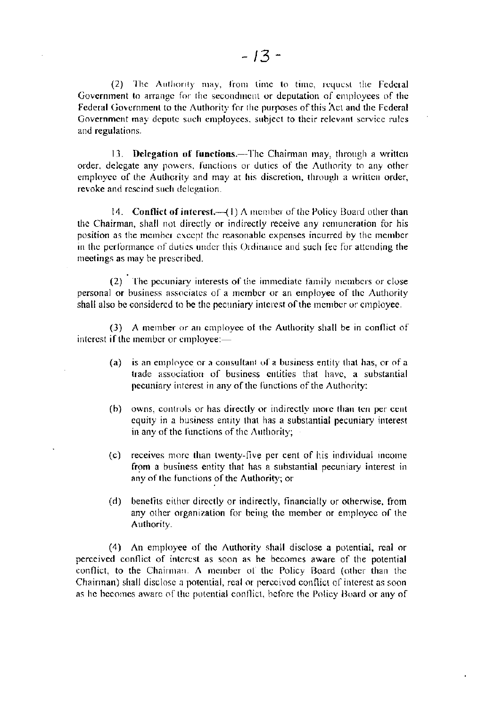(2) The Authority may, from time to time, request the Federal Government to arrange for the secondment or deputation of employees of the Federal Government to the Authority for the purposes of this Act and the Federal Government may depute such employees, subject to their relevant service rules and regulations.

13. Delegation of functions.-The Chairman may, through a written order, delegate any powers, functions or duties of the Authority to any other employee of the Authority and may at his discretion, through a written order, revoke and rescind such delegation.

14. Conflict of interest.  $-(1)$  A member of the Policy Board other than the Chairman, shall not directly or indirectly receive any remuneration for his position as the member except the reasonable expenses incurred by the member in the performance of duties under this Ordinance and such fee for attending the meetings as may be prescribed.

(2) The pecuniary interests of the immediate family members or close personal or business associates of a member or an employee of the Authority shall also be considered to be the pecuniary interest of the member or employee.

(3) A member or an employee of the Authority shall be in conflict of interest if the member or employee:-

- is an employee or a consultant of a business entity that has, or of a  $(a)$ trade association of business entities that have, a substantial pecuniary interest in any of the functions of the Authority;
- (b) owns, controls or has directly or indirectly more than ten per cent equity in a business entity that has a substantial pecuniary interest in any of the functions of the Authority;
- (c) receives more than twenty-five per cent of his individual income from a business entity that has a substantial pecuniary interest in any of the functions of the Authority; or
- (d) benefits either directly or indirectly, financially or otherwise, from any other organization for being the member or employee of the Authority.

 $\bullet$ 

(4) An employee of the Authority shall disclose a potential, real or perceived conflict of interest as soon as he becomes aware of the potential conflict, to the Chairman. A member of the Policy Board (other than the Chairman) shall disclose a potential, real or perceived conflict of interest as soon. as he becomes aware of the potential conflict, before the Policy Board or any of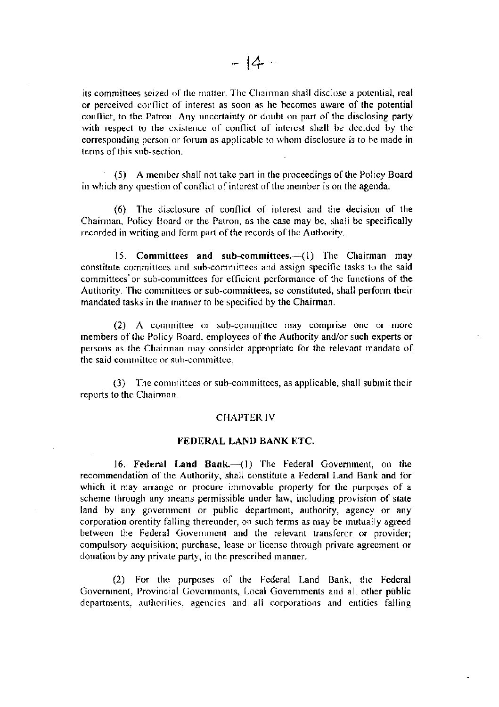its committees seized of the matter. The Chairman shall disclose a potential, real or perceived conflict of interest as soon as he becomes aware of the potential conflict, to the Patron. Any uncertainty or doubt on part of the disclosing party with respect to the existence of conflict of interest shall be decided by the corresponding person or forum as applicable to whom disclosure is to be made in terms of this sub-section.

(5) A member shall not take part in the proceedings of the Policy Board in which any question of conflict of interest of the member is on the agenda.

(6) The disclosure of conflict of interest and the decision of the Chairman, Policy Board or the Patron, as the case may be, shall be specifically recorded in writing and form part of the records of the Authority.

15. Committees and sub-committees.- (1) The Chairman may constitute committees and sub-committees and assign specific tasks to the said committees or sub-committees for efficient performance of the functions of the Authority. The committees or sub-committees, so constituted, shall perform their mandated tasks in the manner to be specified by the Chairman.

 $(2)$  A committee or sub-committee may comprise one or more members of the Policy Board, employees of the Authority and/or such experts or persons as the Chairman may consider appropriate for the relevant mandate of the said committee or sub-committee.

(3) The committees or sub-committees, as applicable, shall submit their reports to the Chairman.

#### **CHAPTER IV**

#### FEDERAL LAND BANK ETC.

16. Federal Land Bank.-(1) The Federal Government, on the recommendation of the Authority, shall constitute a Federal Land Bank and for which it may arrange or procure immovable property for the purposes of a scheme through any means permissible under law, including provision of state land by any government or public department, authority, agency or any corporation orentity falling thereunder, on such terms as may be mutually agreed between the Federal Government and the relevant transferor or provider; compulsory acquisition; purchase, lease or license through private agreement or donation by any private party, in the prescribed manner.

(2) For the purposes of the Federal Land Bank, the Federal Government, Provincial Governments, Local Governments and all other public departments, authorities, agencies and all corporations and entities falling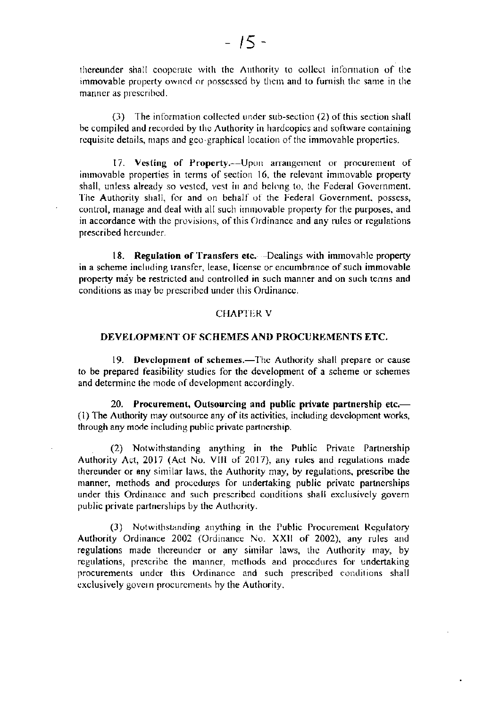thereunder shall cooperate with the Authority to collect information of the immovable property owned or possessed by them and to furnish the same in the manner as prescribed.

(3) The information collected under sub-section (2) of this section shall be compiled and recorded by the Authority in hardcopies and software containing requisite details, maps and geo-graphical location of the immovable properties.

17. Vesting of Property.--Upon arrangement or procurement of immovable properties in terms of section 16, the relevant immovable property shall, unless already so vested, yest in and belong to, the Federal Government. The Authority shall, for and on behalf of the Federal Government, possess, control, manage and deal with all such immovable property for the purposes, and in accordance with the provisions, of this Ordinance and any rules or regulations prescribed hereunder.

18. Regulation of Transfers etc. -Dealings with immovable property in a scheme including transfer, lease, license or encumbrance of such immovable property may be restricted and controlled in such manner and on such terms and conditions as may be prescribed under this Ordinance.

## **CHAPTER V**

## DEVELOPMENT OF SCHEMES AND PROCUREMENTS ETC.

19. Development of schemes.—The Authority shall prepare or cause to be prepared feasibility studies for the development of a scheme or schemes and determine the mode of development accordingly.

20. Procurement, Outsourcing and public private partnership etc.-(1) The Authority may outsource any of its activities, including development works, through any mode including public private partnership.

(2) Notwithstanding anything in the Public Private Partnership Authority Act, 2017 (Act No. VIII of 2017), any rules and regulations made thereunder or any similar laws, the Authority may, by regulations, prescribe the manner, methods and procedures for undertaking public private partnerships under this Ordinance and such prescribed conditions shall exclusively govern public private partnerships by the Authority.

(3) Notwithstanding anything in the Public Procurement Regulatory Authority Ordinance 2002 (Ordinance No. XXII of 2002), any rules and regulations made thereunder or any similar laws, the Authority may, by regulations, prescribe the manner, methods and procedures for undertaking procurements under this Ordinance and such prescribed conditions shall exclusively govern procurements by the Authority.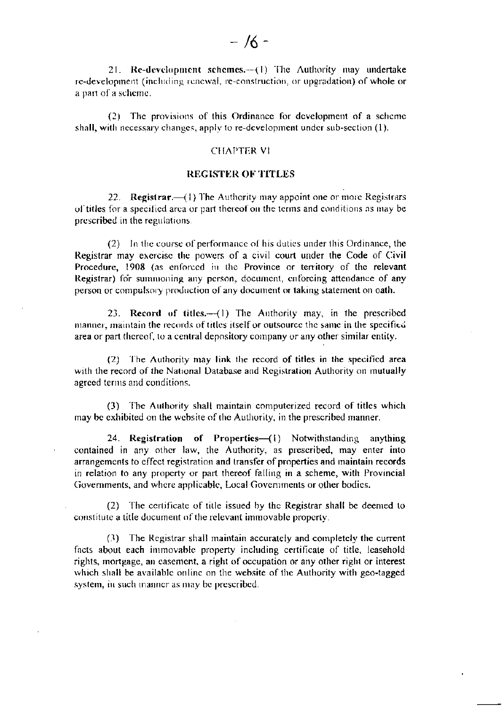21. Re-development schemes.--(1) The Authority may undertake re-development (including renewal, re-construction, or upgradation) of whole or a part of a scheme.

(2) The provisions of this Ordinance for development of a scheme shall, with necessary changes, apply to re-development under sub-section (1).

#### **CHAPTER VI**

## **REGISTER OF TITLES**

22. Registrar.— $(1)$  The Authority may appoint one or more Registrars of titles for a specified area or part thereof on the terms and conditions as may be prescribed in the regulations.

(2) In the course of performance of his duties under this Ordinance, the Registrar may exercise the powers of a civil court under the Code of Civil Procedure, 1908 (as enforced in the Province or territory of the relevant Registrar) for summoning any person, document, enforcing attendance of any person or compulsory production of any document or taking statement on oath.

23. Record of titles. (1) The Authority may, in the prescribed manner, maintain the records of titles itself or outsource the same in the specified area or part thereof, to a central depository company or any other similar entity.

(2) The Authority may link the record of titles in the specified area with the record of the National Database and Registration Authority on mutually agreed terms and conditions.

(3) The Authority shall maintain computerized record of titles which may be exhibited on the website of the Authority, in the prescribed manner.

24. Registration of Propertics-(1) Notwithstanding anything contained in any other law, the Authority, as prescribed, may enter into arrangements to effect registration and transfer of properties and maintain records in relation to any property or part thereof falling in a scheme, with Provincial Governments, and where applicable, Local Governments or other bodies.

(2) The certificate of title issued by the Registrar shall be deemed to constitute a title document of the relevant immovable property.

(3) The Registrar shall maintain accurately and completely the current facts about each immovable property including certificate of title, leasehold rights, mortgage, an easement, a right of occupation or any other right or interest which shall be available online on the website of the Authority with geo-tagged system, in such manner as may be prescribed.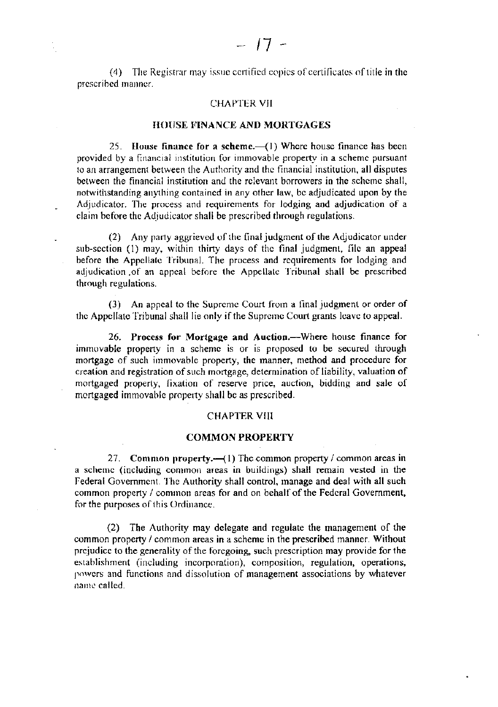(4) The Registrar may issue certified copies of certificates of title in the prescribed manner.

## **CHAPTER VII**

## HOUSE FINANCE AND MORTGAGES

25. House finance for a scheme.— $(1)$  Where house finance has been provided by a financial institution for immovable property in a scheme pursuant to an arrangement between the Authority and the financial institution, all disputes between the financial institution and the relevant borrowers in the scheme shall, notwithstanding anything contained in any other law, be adjudicated upon by the Adjudicator. The process and requirements for lodging and adjudication of a claim before the Adjudicator shall be prescribed through regulations.

(2) Any party aggrieved of the final judgment of the Adjudicator under sub-section (1) may, within thirty days of the final judgment, file an appeal before the Appellate Tribunal. The process and requirements for lodging and adjudication of an appeal before the Appellate Tribunal shall be prescribed through regulations.

(3) An appeal to the Supreme Court from a final judgment or order of the Appellate Tribunal shall lie only if the Supreme Court grants leave to appeal.

26. Process for Mortgage and Auction.—Where house finance for immovable property in a scheme is or is proposed to be secured through mortgage of such immovable property, the manner, method and procedure for creation and registration of such mortgage, determination of liability, valuation of mortgaged property, fixation of reserve price, auction, bidding and sale of mortgaged immovable property shall be as prescribed.

## **CHAPTER VIII**

## **COMMON PROPERTY**

27. Common property.  $-(1)$  The common property / common areas in a scheme (including common areas in buildings) shall remain vested in the Federal Government. The Authority shall control, manage and deal with all such common property / common areas for and on behalf of the Federal Government, for the purposes of this Ordinance.

(2) The Authority may delegate and regulate the management of the common property / common areas in a scheme in the prescribed manner. Without prejudice to the generality of the foregoing, such prescription may provide for the establishment (including incorporation), composition, regulation, operations, powers and functions and dissolution of management associations by whatever name called.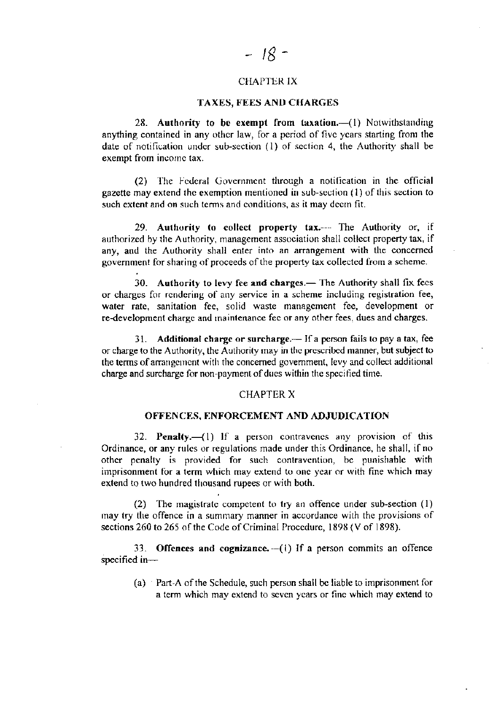## **CHAPTER IX**

## TAXES, FEES AND CHARGES

28. Authority to be exempt from taxation.—(1) Notwithstanding anything contained in any other law, for a period of five years starting from the date of notification under sub-section (1) of section 4, the Authority shall be exempt from income tax.

(2) The Federal Government through a notification in the official gazette may extend the exemption mentioned in sub-section (1) of this section to such extent and on such terms and conditions, as it may deem fit.

29. Authority to collect property tax.--- The Authority or, if authorized by the Authority, management association shall collect property tax, if any, and the Authority shall enter into an arrangement with the concerned government for sharing of proceeds of the property tax collected from a scheme.

30. Authority to levy fee and charges.— The Authority shall fix fees or charges for rendering of any service in a scheme including registration fee, water rate, sanitation fee, solid waste management fee, development or re-development charge and maintenance fee or any other fees, dues and charges.

31. Additional charge or surcharge.— If a person fails to pay a tax, fee or charge to the Authority, the Authority may in the prescribed manner, but subject to the terms of arrangement with the concerned government, levy and collect additional charge and surcharge for non-payment of dues within the specified time.

#### **CHAPTER X**

#### OFFENCES, ENFORCEMENT AND ADJUDICATION

32. Penalty.—(1) If a person contravenes any provision of this Ordinance, or any rules or regulations made under this Ordinance, he shall, if no other penalty is provided for such contravention, be punishable with imprisonment for a term which may extend to one year or with fine which may extend to two hundred thousand rupees or with both.

(2) The magistrate competent to try an offence under sub-section  $(1)$ may try the offence in a summary manner in accordance with the provisions of sections 260 to 265 of the Code of Criminal Procedure, 1898 (V of 1898).

33. Offences and cognizance.  $-(1)$  If a person commits an offence specified in $-$ 

(a) Part-A of the Schedule, such person shall be liable to imprisonment for a term which may extend to seven years or fine which may extend to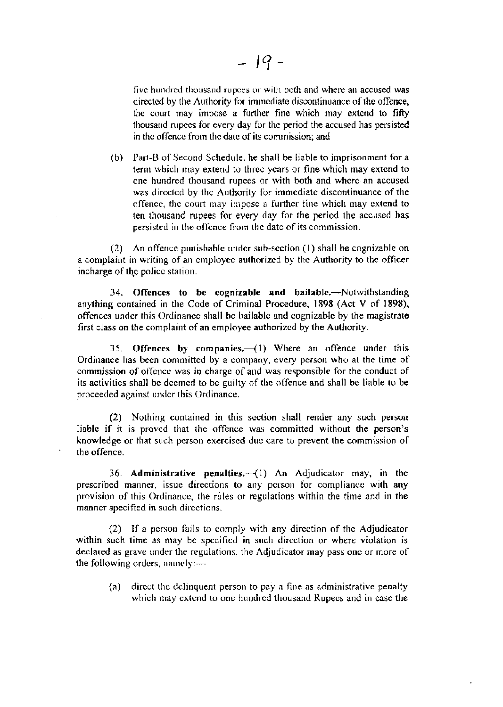five hundred thousand rupces or with both and where an accused was directed by the Authority for immediate discontinuance of the offence, the court may impose a further fine which may extend to fifty thousand rupees for every day for the period the accused has persisted in the offence from the date of its commission; and

(b) Part-B of Second Schedule, he shall be liable to imprisonment for a term which may extend to three years or fine which may extend to one hundred thousand rupces or with both and whcrc an accused was directed by the Authority for immediate discontinuance of the offence, the court may impose a further fine which may extend to ten thousand rupees for every day for the period the accused has persisted in the offence from the date of its commission.

(2) An offence punishable under sub-section (1) shall be cognizable on a complaint in writing of an employee authorized by the Authority to the officer incharge of the police station.

34. Offences to be cognizable and bailable.-Notwithstanding anything contained in the Code of Criminal Procedure, 1898 (Act V of 1898), offences under this Ordinance shall bc bailable and cognizable by the magistrate first class on the complaint of an employee authorized by the Authority.

35. Offences by companies. $-(1)$  Where an offence under this Ordinance has been committed by a company, every person who at the time of commission of offence was in charge of and was responsible for the conduct of its activities shall bc deemed to be gurlty of the offence and shall bc liable to be proceeded against under this Ordinance.

(2) Nothnrg contained in this scction shall render any such person liable if it is provcd that thc offerce was committed without the person's knowledge or that such person exercised duc care to prevent the commission of the offence.

36. Administrative penalties. $-(1)$  An Adjudicator may, in the prescribed manner, issue directions to any person for compliance with any provision of this Ordinance, the rules or regulations within the time and in the manner specified in such dircctions.

(2) If a person fails to comply with any direction of the Adjudicator within such time as may be specified in such direction or where violation is declared as gravc under the regulations. the Adjudicator may pass onc or morc of the following orders, namely: $-$ 

(a) direct the delinquent person to pay a fine as administrative penalty which may extend to one hundred thousand Rupees and in case the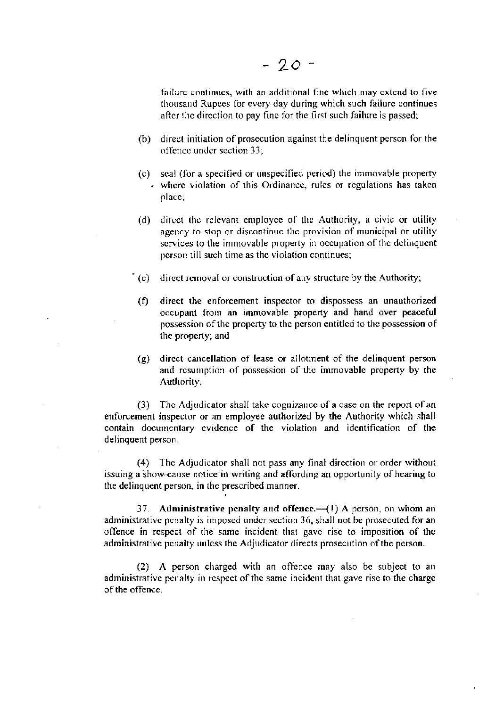failure continues, with an additional fine which may extend to five thousand Rupees for every day during which such failure continues after the direction to pay fine for the first such failure is passed;

- direct initiation of prosecution against the delinquent person for the  $(b)$ offence under section 33;
- (c) seal (for a specified or unspecified period) the immovable property + where violation of this Ordinance, rules or regulations has taken place:
- direct the relevant employee of the Authority, a civic or utility  $(d)$ agency to stop or discontinue the provision of municipal or utility services to the immovable property in occupation of the delinquent person till such time as the violation continues;
- (e) direct removal or construction of any structure by the Authority;
- direct the enforcement inspector to dispossess an unauthorized  $(f)$ occupant from an immovable property and hand over peaceful possession of the property to the person entitled to the possession of the property; and
- direct cancellation of lease or allotment of the delinquent person  $(g)$ and resumption of possession of the immovable property by the Authority.

(3) The Adjudicator shall take cognizance of a case on the report of an enforcement inspector or an employee authorized by the Authority which shall contain documentary evidence of the violation and identification of the delinquent person.

The Adjudicator shall not pass any final direction or order without  $(4)$ issuing a show-cause notice in writing and affording an opportunity of hearing to the delinquent person, in the prescribed manner.

37. Administrative penalty and offence. $-(1)$  A person, on whom an administrative penalty is imposed under section 36, shall not be prosecuted for an offence in respect of the same incident that gave rise to imposition of the administrative penalty unless the Adjudicator directs prosecution of the person.

(2) A person charged with an offence may also be subject to an administrative penalty in respect of the same incident that gave rise to the charge of the offence.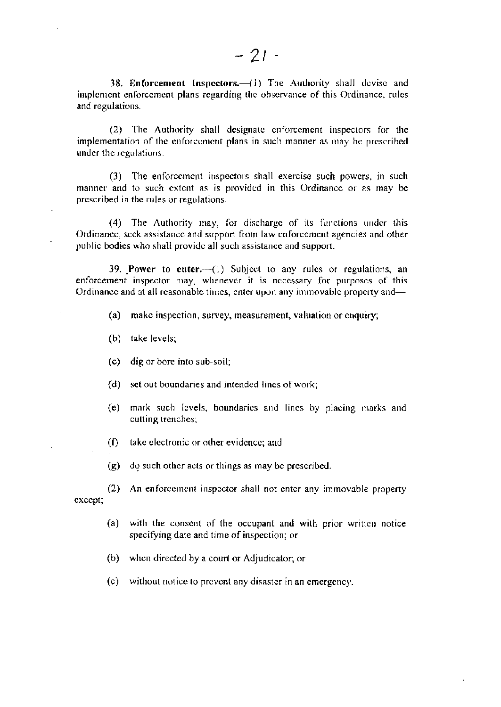38. Enforcement Inspectors.-(1) The Authority shall devise and implement enforcement plans regarding the observance of this Ordinance, rules and regulations.

(2) The Authority shall designate enforcement inspectors for the implementation of the enforcement plans in such manner as may be prescribed under the regulations.

(3) The enforcement inspectors shall exercise such powers, in such manner and to such extent as is provided in this Ordinance or as may be prescribed in the rules or regulations.

(4) The Authority may, for discharge of its functions under this Ordinance, seek assistance and support from law enforcement agencies and other public bodies who shall provide all such assistance and support.

39. Power to enter. (1) Subject to any rules or regulations, an enforcement inspector may, whenever it is necessary for purposes of this Ordinance and at all reasonable times, enter upon any immovable property and—

- (a) make inspection, survey, measurement, valuation or enquiry;
- (b) take levels;
- (c) dig or bore into sub-soil;
- (d) set out boundaries and intended lines of work;
- (e) mark such levels, boundaries and lines by placing marks and cutting trenches;
- $(f)$ take electronic or other evidence; and
- (g) do such other acts or things as may be prescribed.

 $(2)$ An enforcement inspector shall not enter any immovable property except;

- (a) with the consent of the occupant and with prior written notice specifying date and time of inspection; or
- (b) when directed by a court or Adjudicator; or
- $(c)$ without notice to prevent any disaster in an emergency.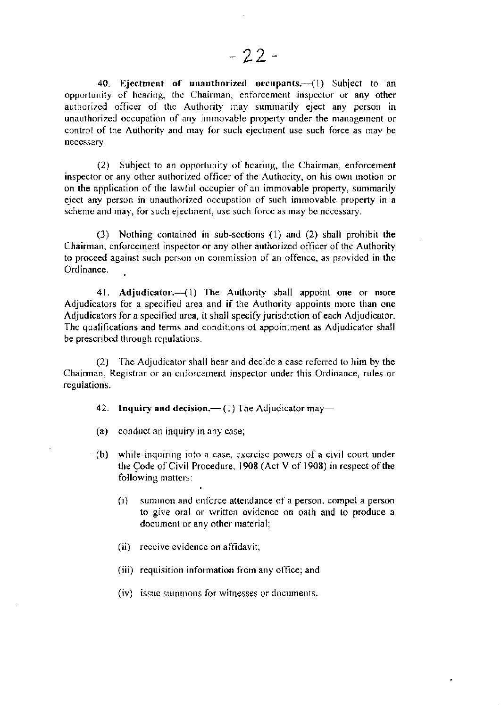40. Ejectment of unauthorized occupants. (1) Subject to an opportunity of hearing, the Chairman, enforcement inspector or any other authorized officer of the Authority may summarily eject any person in unauthorized occupation of any immovable property under the management or control of the Authority and may for such ejectment use such force as may be necessary.

(2) Subject to an opportunity of hearing, the Chairman, enforcement inspector or any other authorized officer of the Authority, on his own inotion or on the application of the lawful occupier of an immovable property, summarily eject any person in unauthorized occupation of such immovable property in a scheme and may, for such ejectment, use such force as may be necessary.

(3) Nothing contained in sub-sections (1) and (2) shall prohibit the Chairman, enforcement inspector or any other authorized officer of the Authority to proceed against such person on commission of an offence, as provided in the Ordinance.

41. Adjudicator.—(1) The Authority shall appoint one or more Adjudicators for a specified area and if the Authority appoints more than one Adjudicators for a specified area, it shall specify jurisdiction of each Adjudicator. The qualifications and terms and conditions of appointment as Adjudicator shall be prescribed through regulations.

(2) The Adjudicator shall hear and decide a case referred to him by the Chairman, Registrar or an enforcement inspector under this Ordinance, rules or regulations.

42. Inquiry and decision.  $- (1)$  The Adjudicator may-

(a) conduct an inquiry in any case;

- (b) while inquiring into a case, exercise powers of a civil court under the Code of Civil Procedure, 1908 (Act V of 1908) in respect of the following matters:
	- $(i)$ summon and enforce attendance of a person, compel a person to give oral or written evidence on oath and to produce a document or any other material;
	- (ii) receive evidence on affidavit;
	- (iii) requisition information from any office; and
	- (iv) issue summons for witnesses or documents.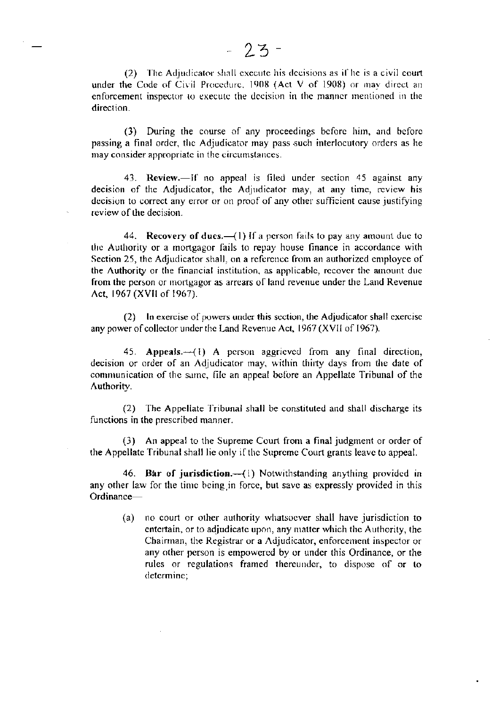(2) The Adjudicator shall execute his decisions as if he is a civil court under the Code of Civil Procedure, 1908 (Act V of 1908) or may direct an enforcement inspector to execute the decision in the manner mentioned in the direction.

(3) During the course of any proceedings before him, and before passing a final order, the Adjudicator may pass such interlocutory orders as he may consider appropriate in the circumstances.

43. Review.—If no appeal is filed under section 45 against any decision of the Adjudicator, the Adjudicator may, at any time, review his decision to correct any error or on proof of any other sufficient cause justifying review of the decision.

44. Recovery of dues.—(1) If a person fails to pay any amount due to the Authority or a mortgagor fails to repay house finance in accordance with Section 25, the Adjudicator shall, on a reference from an authorized employee of the Authority or the financial institution, as applicable, recover the amount due from the person or mortgagor as arrears of land revenue under the Land Revenue Act, 1967 (XVII of 1967).

(2) In exercise of powers under this section, the Adjudicator shall exercise any power of collector under the Land Revenue Act, 1967 (XVII of 1967).

45. Appeals.  $-(1)$  A person aggrieved from any final direction, decision or order of an Adjudicator may, within thirty days from the date of communication of the same, file an appeal before an Appellate Tribunal of the Authority.

(2) The Appellate Tribunal shall be constituted and shall discharge its functions in the prescribed manner.

(3) An appeal to the Supreme Court from a final judgment or order of the Appellate Tribunal shall lie only if the Supreme Court grants leave to appeal.

46. Bar of jurisdiction.-- (1) Notwithstanding anything provided in any other law for the time being in force, but save as expressly provided in this Ordinance-

no court or other authority whatsoever shall have jurisdiction to  $(a)$ entertain, or to adjudicate upon, any matter which the Authority, the Chairman, the Registrar or a Adjudicator, enforcement inspector or any other person is empowered by or under this Ordinance, or the rules or regulations framed thereunder, to dispose of or to determine: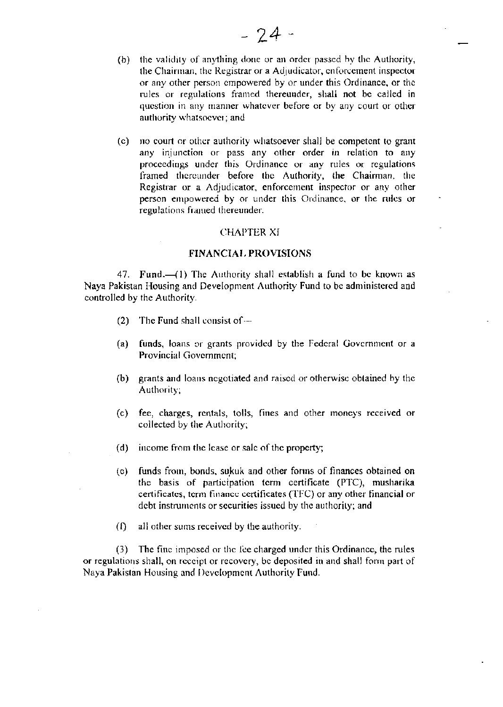- (b) the validity of anything done or an order passed by the Authority, the Chairman, the Registrar or a Adjudicator, enforcement inspector or any other person empowered by or under this Ordinance, or the rules or regulations framed thereunder, shall not be called in question in any manner whatever before or by any court or other authority whatsoever; and
- (c) no court or other authority whatsoever shall be competent to grant any injunction or pass any other order in relation to any proceedings under this Ordinance or any rules or regulations framed thereunder before the Authority, the Chairman, the Registrar or a Adjudicator, enforcement inspector or any other person empowered by or under this Ordinance, or the rules or regulations framed thereunder.

#### **CHAPTER XI**

### **FINANCIAL PROVISIONS**

47. Fund.-(1) The Authority shall establish a fund to be known as Naya Pakistan Housing and Development Authority Fund to be administered and controlled by the Authority.

- The Fund shall consist of  $(2)$
- funds, loans or grants provided by the Federal Government or a  $(a)$ Provincial Government;
- $(b)$ grants and loans negotiated and raised or otherwise obtained by the Authority;
- fee, charges, rentals, tolls, fines and other moneys received or  $(c)$ collected by the Authority;
- $(d)$ income from the lease or sale of the property;
- funds from, bonds, sukuk and other forms of finances obtained on  $(c)$ the basis of participation term certificate (PTC), musharika certificates, term finance certificates (TFC) or any other financial or debt instruments or securities issued by the authority; and
- $\Omega$ all other sums received by the authority.

(3) The fine imposed or the fee charged under this Ordinance, the rules or regulations shall, on receipt or recovery, be deposited in and shall form part of Nava Pakistan Housing and Development Authority Fund.